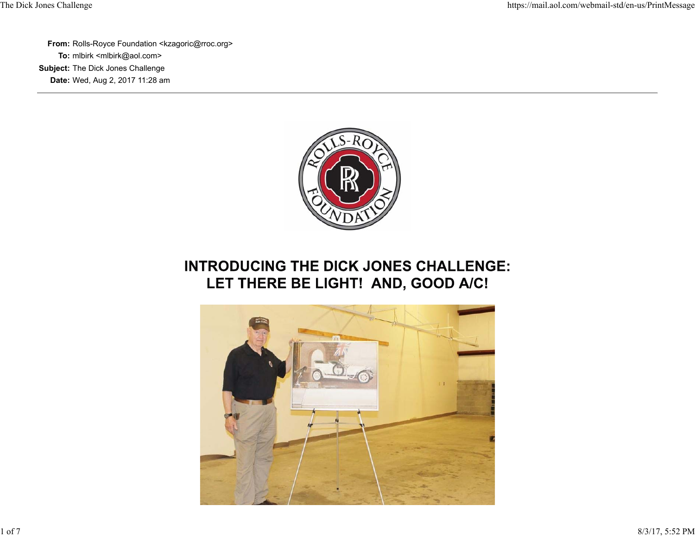**From:** Rolls-Royce Foundation <kzagoric@rroc.org> **To:** mlbirk <mlbirk@aol.com> **Subject:** The Dick Jones Challenge **Date:** Wed, Aug 2, 2017 11:28 am



## **INTRODUCING THE DICK JONES CHALLENGE:** LET THERE BE LIGHT! AND, GOOD A/C!

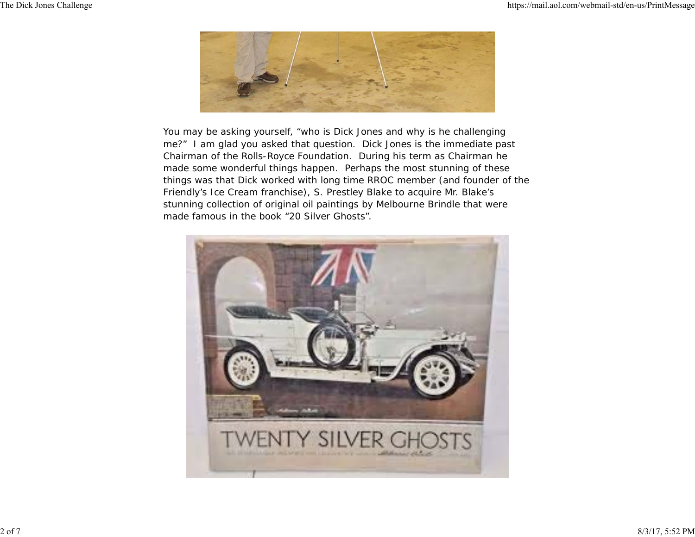

You may be asking yourself, "who is Dick Jones and why is he challenging me?" I am glad you asked that question. Dick Jones is the immediate past Chairman of the Rolls-Royce Foundation. During his term as Chairman he made some wonderful things happen. Perhaps the most stunning of these things was that Dick worked with long time RROC member (and founder of the Friendly's Ice Cream franchise), S. Prestley Blake to acquire Mr. Blake's stunning collection of original oil paintings by Melbourne Brindle that were made famous in the book "20 Silver Ghosts".

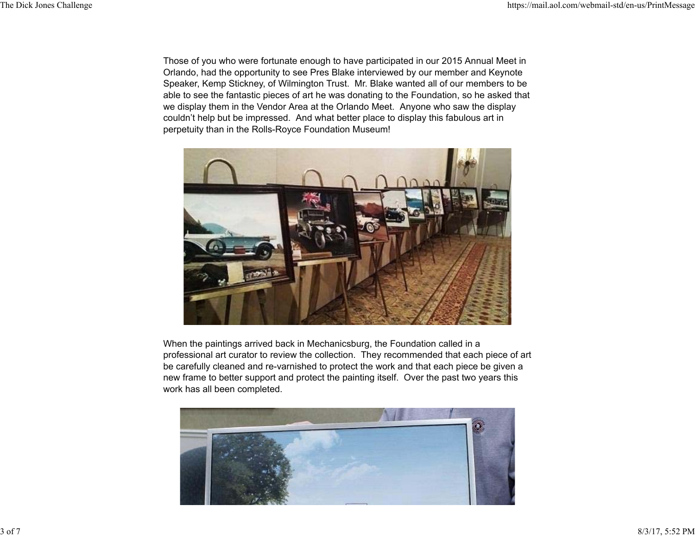Those of you who were fortunate enough to have participated in our 2015 Annual Meet in Orlando, had the opportunity to see Pres Blake interviewed by our member and Keynote Speaker, Kemp Stickney, of Wilmington Trust. Mr. Blake wanted all of our members to be able to see the fantastic pieces of art he was donating to the Foundation, so he asked that we display them in the Vendor Area at the Orlando Meet. Anyone who saw the display couldn't help but be impressed. And what better place to display this fabulous art in perpetuity than in the Rolls-Royce Foundation Museum!



When the paintings arrived back in Mechanicsburg, the Foundation called in a professional art curator to review the collection. They recommended that each piece of art be carefully cleaned and re-varnished to protect the work and that each piece be given a new frame to better support and protect the painting itself. Over the past two years this work has all been completed.

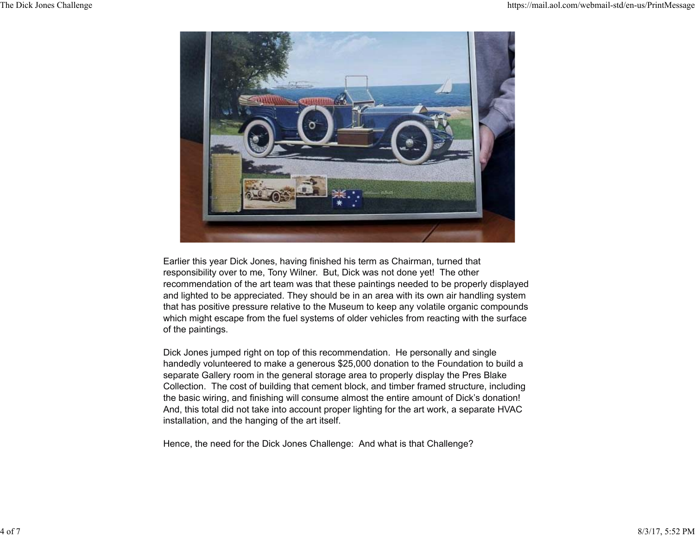

Earlier this year Dick Jones, having finished his term as Chairman, turned that responsibility over to me, Tony Wilner. But, Dick was not done yet! The other recommendation of the art team was that these paintings needed to be properly displayed and lighted to be appreciated. They should be in an area with its own air handling system that has positive pressure relative to the Museum to keep any volatile organic compounds which might escape from the fuel systems of older vehicles from reacting with the surface of the paintings.

Dick Jones jumped right on top of this recommendation. He personally and single handedly volunteered to make a generous \$25,000 donation to the Foundation to build a separate Gallery room in the general storage area to properly display the Pres Blake Collection. The cost of building that cement block, and timber framed structure, including the basic wiring, and finishing will consume almost the entire amount of Dick's donation! And, this total did not take into account proper lighting for the art work, a separate HVAC installation, and the hanging of the art itself.

Hence, the need for the Dick Jones Challenge: And what is that Challenge?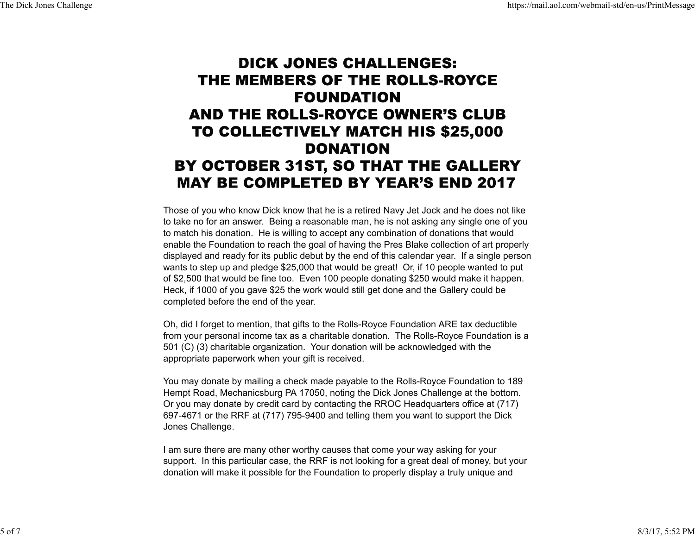## **DICK JONES CHALLENGES:** THE MEMBERS OF THE ROLLS-ROYCE **FOUNDATION** AND THE ROLLS-ROYCE OWNER'S CLUB **TO COLLECTIVELY MATCH HIS \$25,000 DONATION** BY OCTOBER 31ST, SO THAT THE GALLERY **MAY BE COMPLETED BY YEAR'S END 2017**

Those of you who know Dick know that he is a retired Navy Jet Jock and he does not like to take no for an answer. Being a reasonable man, he is not asking any single one of you to match his donation. He is willing to accept any combination of donations that would enable the Foundation to reach the goal of having the Pres Blake collection of art properly displayed and ready for its public debut by the end of this calendar year. If a single person wants to step up and pledge \$25,000 that would be great! Or, if 10 people wanted to put of \$2,500 that would be fine too. Even 100 people donating \$250 would make it happen. Heck, if 1000 of you gave \$25 the work would still get done and the Gallery could be completed before the end of the year.

Oh, did I forget to mention, that gifts to the Rolls-Royce Foundation ARE tax deductible from your personal income tax as a charitable donation. The Rolls-Royce Foundation is a 501 (C) (3) charitable organization. Your donation will be acknowledged with the appropriate paperwork when your gift is received.

You may donate by mailing a check made payable to the Rolls-Royce Foundation to 189 Hempt Road, Mechanicsburg PA 17050, noting the Dick Jones Challenge at the bottom. Or you may donate by credit card by contacting the RROC Headquarters office at (717) 697-4671 or the RRF at (717) 795-9400 and telling them you want to support the Dick Jones Challenge.

I am sure there are many other worthy causes that come your way asking for your support. In this particular case, the RRF is not looking for a great deal of money, but your donation will make it possible for the Foundation to properly display a truly unique and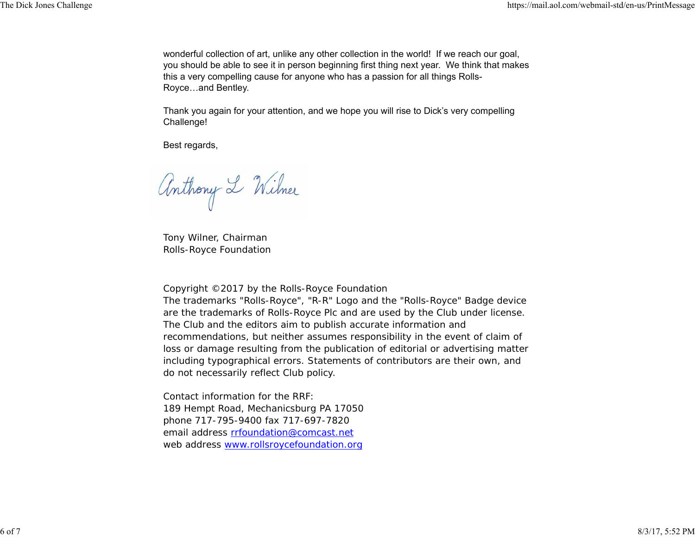wonderful collection of art, unlike any other collection in the world! If we reach our goal, you should be able to see it in person beginning first thing next year. We think that makes this a very compelling cause for anyone who has a passion for all things Rolls-Royce…and Bentley.

Thank you again for your attention, and we hope you will rise to Dick's very compelling Challenge!

Best regards,

Anthony L Wilner

Tony Wilner, Chairman Rolls-Royce Foundation

Copyright ©2017 by the Rolls-Royce Foundation

The trademarks "Rolls-Royce", "R-R" Logo and the "Rolls-Royce" Badge device are the trademarks of Rolls-Royce Plc and are used by the Club under license. The Club and the editors aim to publish accurate information and recommendations, but neither assumes responsibility in the event of claim of loss or damage resulting from the publication of editorial or advertising matter including typographical errors. Statements of contributors are their own, and do not necessarily reflect Club policy.

Contact information for the RRF: 189 Hempt Road, Mechanicsburg PA 17050 phone 717-795-9400 fax 717-697-7820 email address rrfoundation@comcast.net web address <u>www.rollsroycefoundation.org</u>